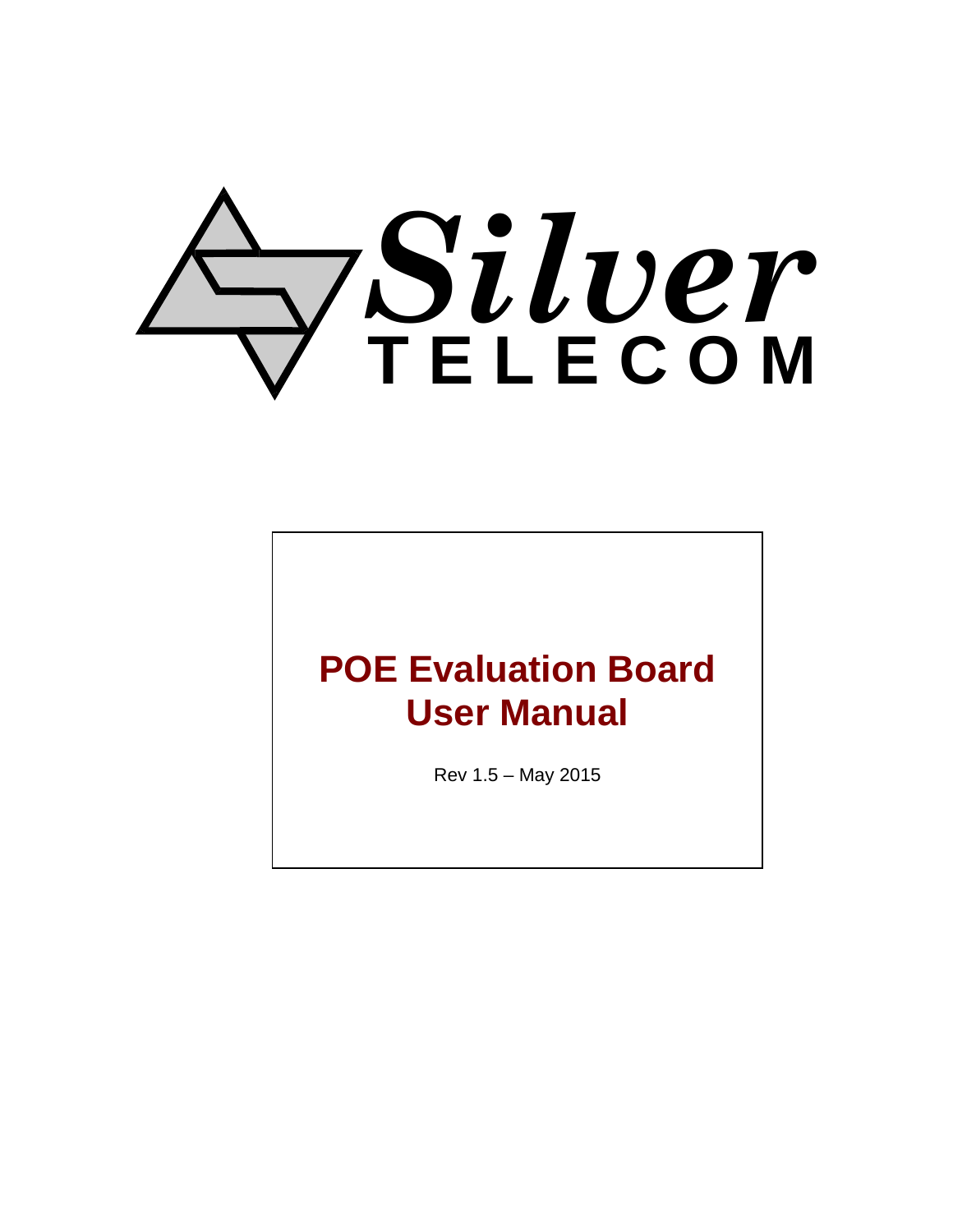# *Silver* **T E L E C O M**

## **POE Evaluation Board User Manual**

Rev 1.5 – May 2015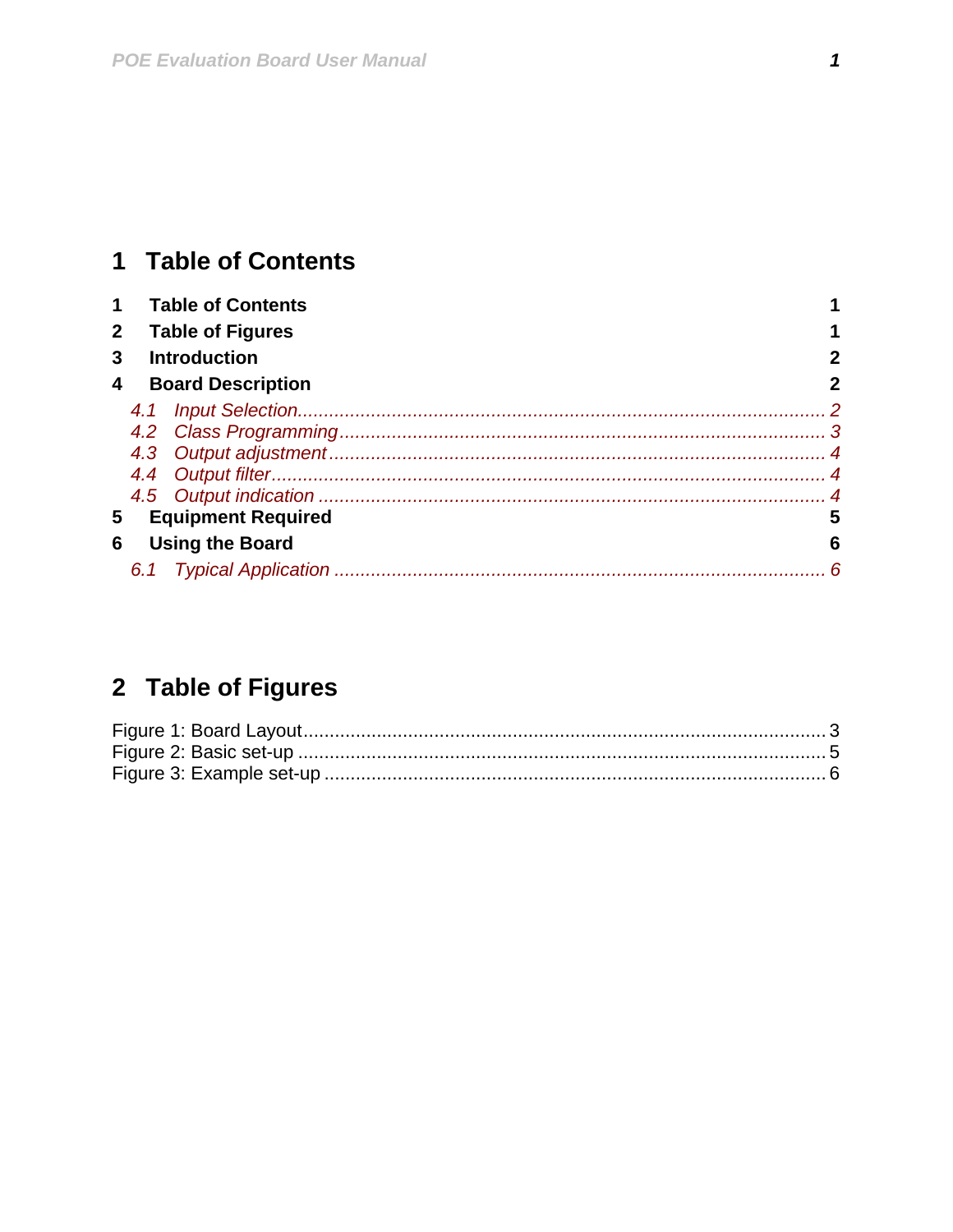## <span id="page-1-0"></span>1 Table of Contents

|                                |                         | <b>Table of Contents</b> |   |  |  |  |  |
|--------------------------------|-------------------------|--------------------------|---|--|--|--|--|
|                                | <b>Table of Figures</b> |                          |   |  |  |  |  |
| 3                              | <b>Introduction</b>     |                          |   |  |  |  |  |
| <b>Board Description</b><br>4  |                         |                          |   |  |  |  |  |
|                                |                         |                          |   |  |  |  |  |
|                                |                         |                          |   |  |  |  |  |
|                                |                         |                          |   |  |  |  |  |
|                                |                         |                          |   |  |  |  |  |
|                                |                         |                          |   |  |  |  |  |
| <b>Equipment Required</b><br>5 |                         |                          |   |  |  |  |  |
| 6                              |                         | <b>Using the Board</b>   | 6 |  |  |  |  |
|                                |                         |                          | 6 |  |  |  |  |

## 2 Table of Figures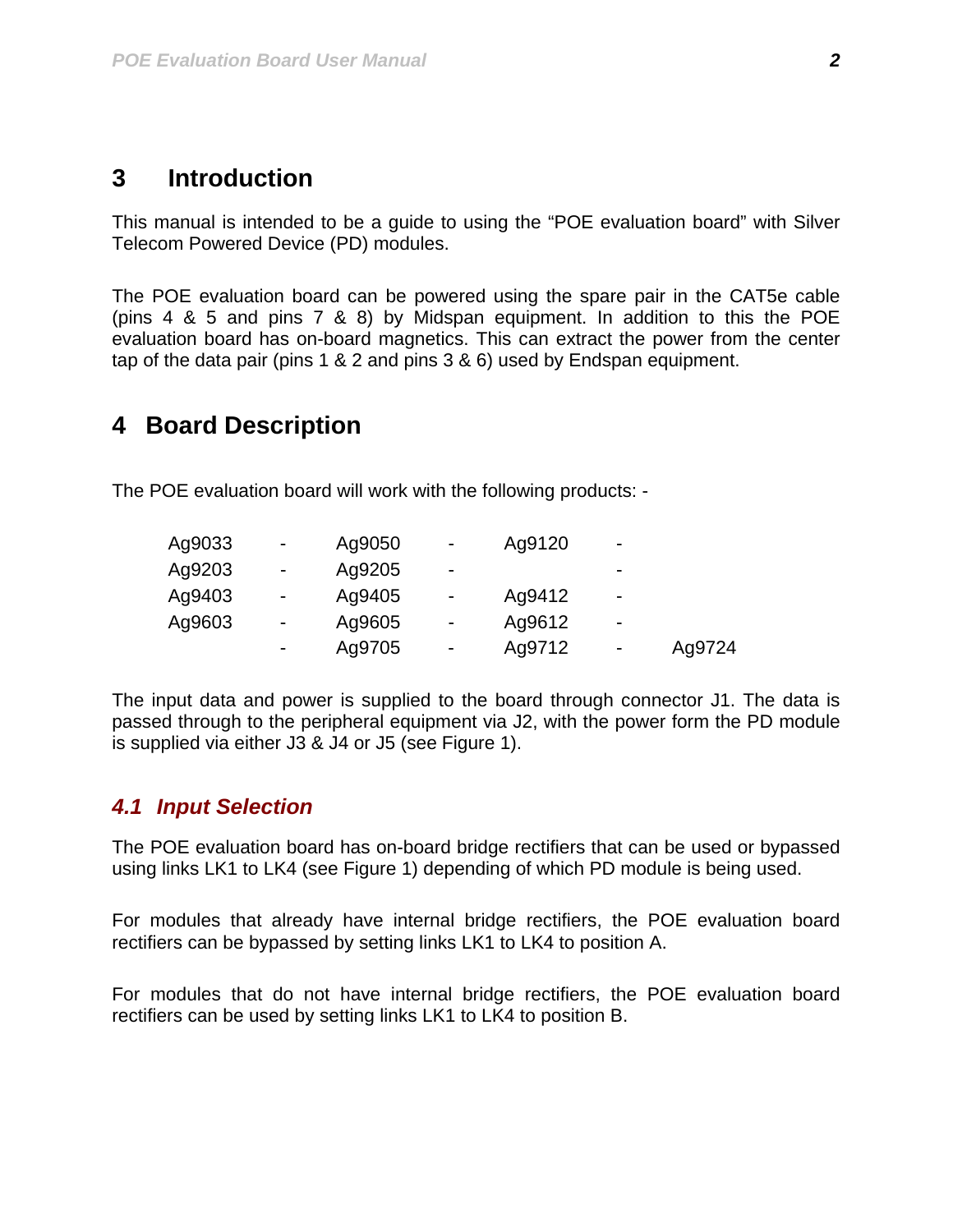#### <span id="page-2-0"></span>**3 Introduction**

This manual is intended to be a guide to using the "POE evaluation board" with Silver Telecom Powered Device (PD) modules.

The POE evaluation board can be powered using the spare pair in the CAT5e cable (pins 4 & 5 and pins 7 & 8) by Midspan equipment. In addition to this the POE evaluation board has on-board magnetics. This can extract the power from the center tap of the data pair (pins 1 & 2 and pins 3 & 6) used by Endspan equipment.

#### **4 Board Description**

The POE evaluation board will work with the following products: -

| Ag9033 | $\blacksquare$ | Ag9050 | $\blacksquare$ | Ag9120 | $\overline{\phantom{a}}$ |        |
|--------|----------------|--------|----------------|--------|--------------------------|--------|
| Ag9203 | $\blacksquare$ | Ag9205 | $\blacksquare$ |        | -                        |        |
| Ag9403 | $\blacksquare$ | Ag9405 | $\blacksquare$ | Ag9412 | -                        |        |
| Ag9603 | $\blacksquare$ | Ag9605 | $\blacksquare$ | Ag9612 | -                        |        |
|        |                | Ag9705 | $\blacksquare$ | Ag9712 | -                        | Ag9724 |

The input data and power is supplied to the board through connector J1. The data is passed through to the peripheral equipment via J2, with the power form the PD module is supplied via either J3 & J4 or J5 (see [Figure 1](#page-3-1)).

#### *4.1 Input Selection*

The POE evaluation board has on-board bridge rectifiers that can be used or bypassed using links LK1 to LK4 (see [Figure 1\)](#page-3-1) depending of which PD module is being used.

For modules that already have internal bridge rectifiers, the POE evaluation board rectifiers can be bypassed by setting links LK1 to LK4 to position A.

For modules that do not have internal bridge rectifiers, the POE evaluation board rectifiers can be used by setting links LK1 to LK4 to position B.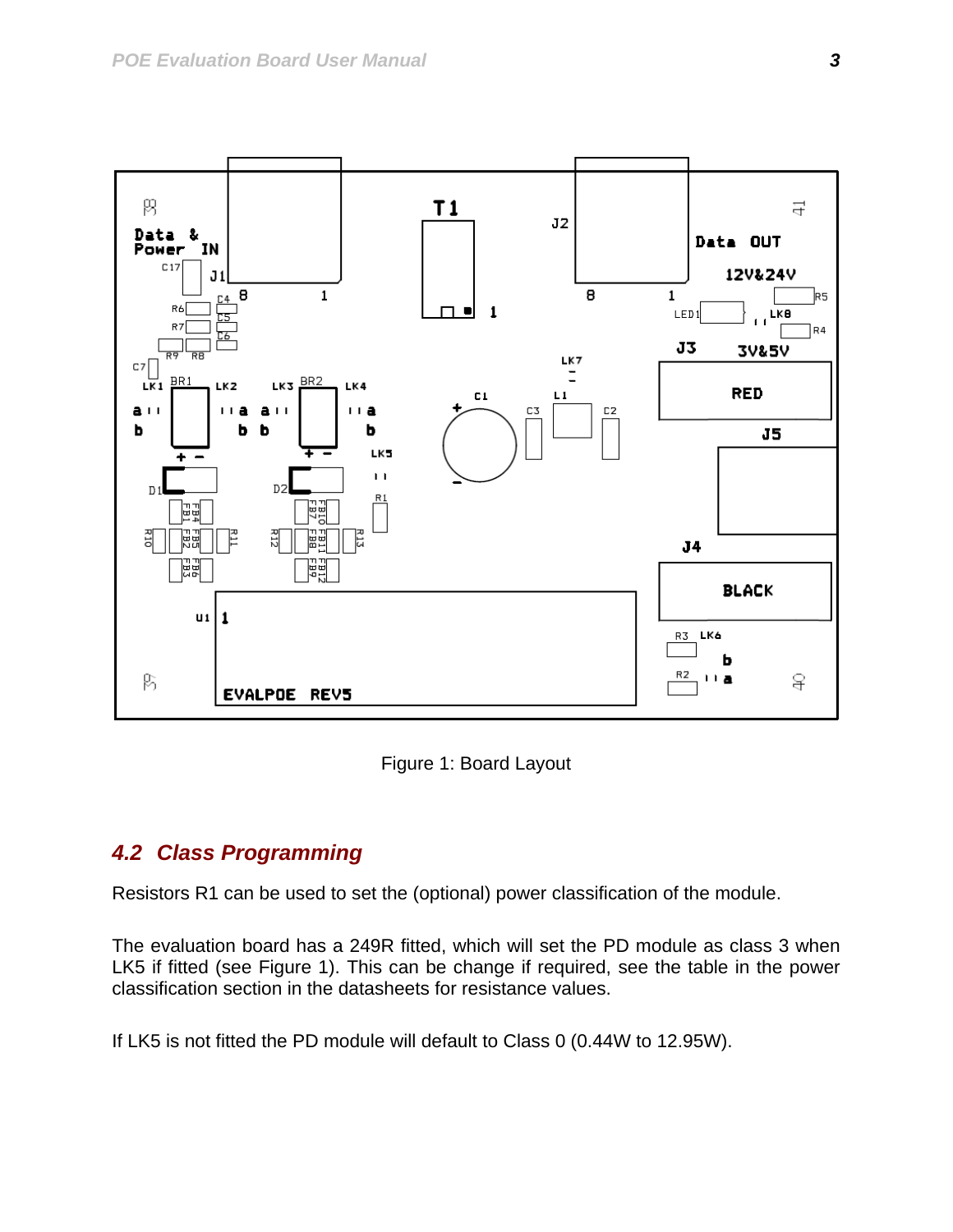<span id="page-3-0"></span>

Figure 1: Board Layout

#### <span id="page-3-1"></span>*4.2 Class Programming*

Resistors R1 can be used to set the (optional) power classification of the module.

The evaluation board has a 249R fitted, which will set the PD module as class 3 when LK5 if fitted (see [Figure 1](#page-3-1)). This can be change if required, see the table in the power classification section in the datasheets for resistance values.

If LK5 is not fitted the PD module will default to Class 0 (0.44W to 12.95W).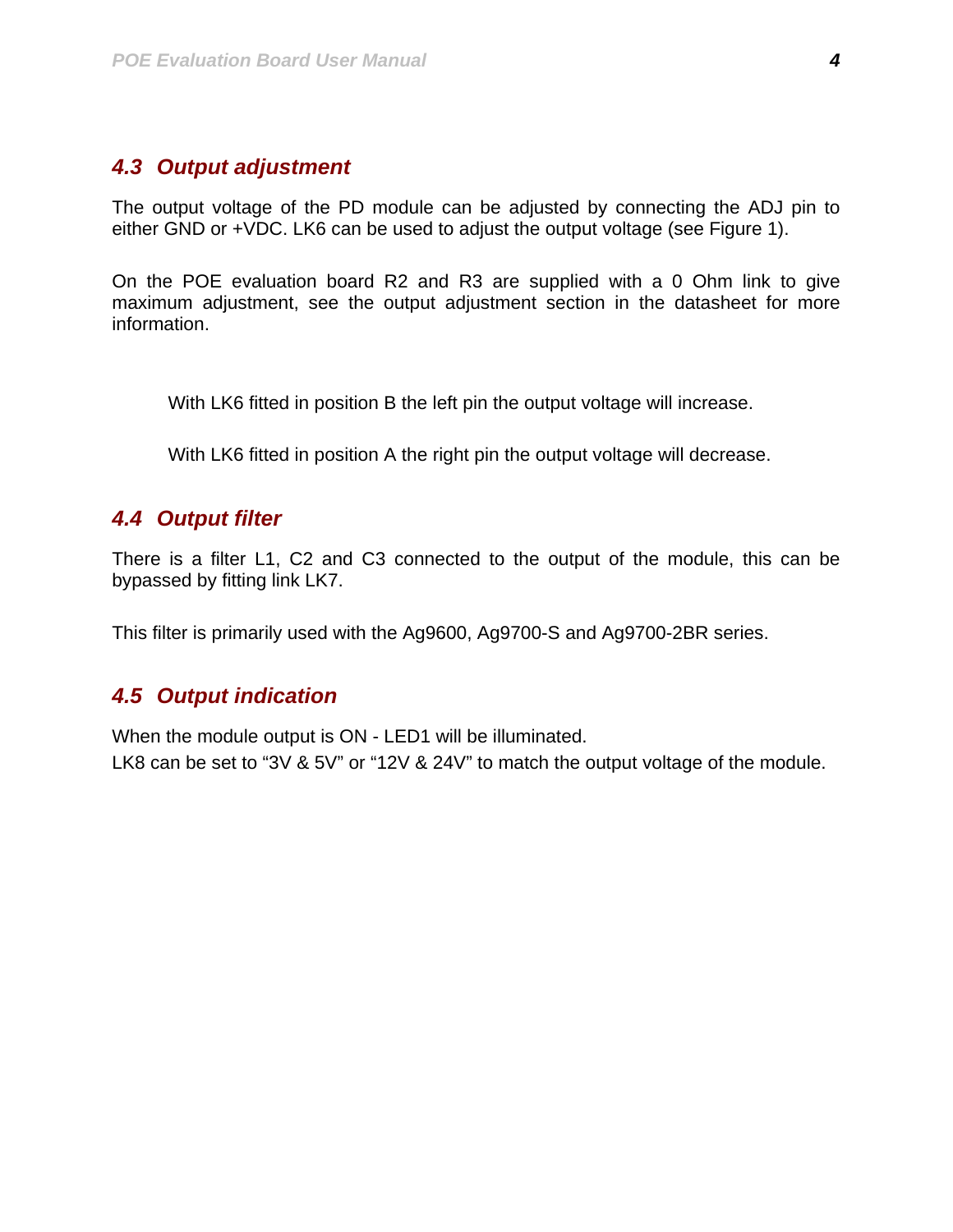#### <span id="page-4-0"></span>*4.3 Output adjustment*

The output voltage of the PD module can be adjusted by connecting the ADJ pin to either GND or +VDC. LK6 can be used to adjust the output voltage (see [Figure 1\)](#page-3-1).

On the POE evaluation board R2 and R3 are supplied with a 0 Ohm link to give maximum adjustment, see the output adjustment section in the datasheet for more information.

With LK6 fitted in position B the left pin the output voltage will increase.

With LK6 fitted in position A the right pin the output voltage will decrease.

#### *4.4 Output filter*

There is a filter L1, C2 and C3 connected to the output of the module, this can be bypassed by fitting link LK7.

This filter is primarily used with the Ag9600, Ag9700-S and Ag9700-2BR series.

#### *4.5 Output indication*

When the module output is ON - LED1 will be illuminated.

LK8 can be set to "3V & 5V" or "12V & 24V" to match the output voltage of the module.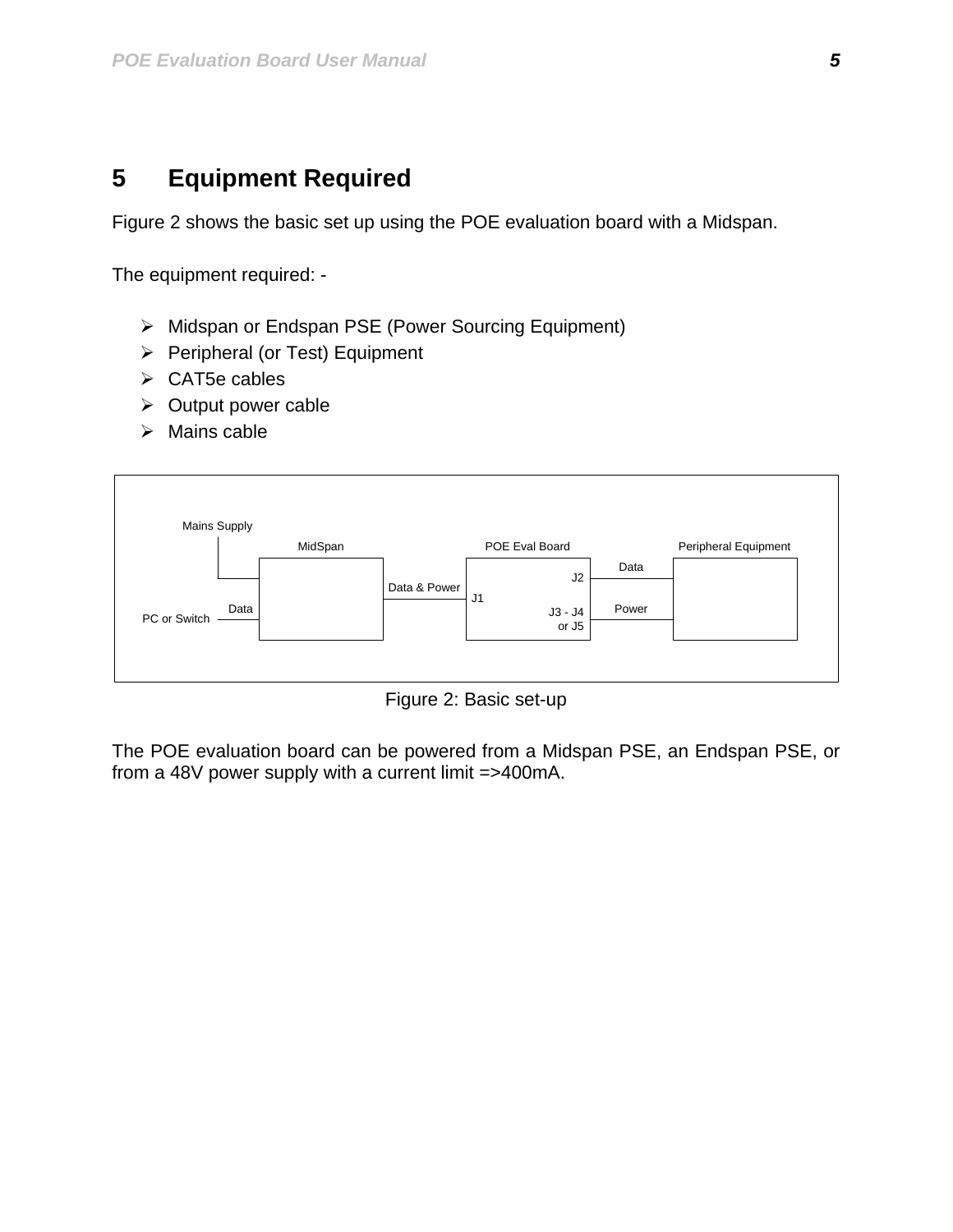### <span id="page-5-0"></span>**5 Equipment Required**

[Figure 2](#page-5-1) shows the basic set up using the POE evaluation board with a Midspan.

The equipment required: -

- ¾ Midspan or Endspan PSE (Power Sourcing Equipment)
- $\triangleright$  Peripheral (or Test) Equipment
- $\triangleright$  CAT5e cables
- $\triangleright$  Output power cable
- $\triangleright$  Mains cable



Figure 2: Basic set-up

<span id="page-5-1"></span>The POE evaluation board can be powered from a Midspan PSE, an Endspan PSE, or from a 48V power supply with a current limit =>400mA.